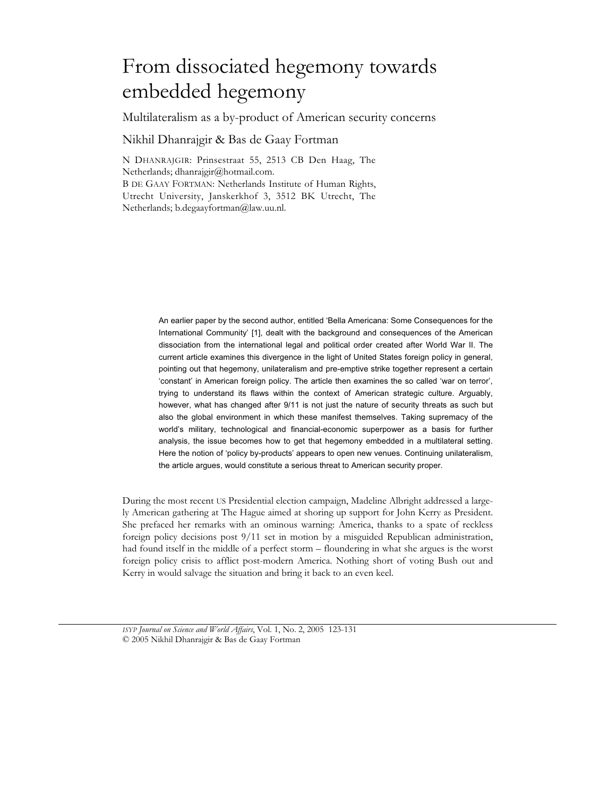# From dissociated hegemony towards embedded hegemony

Multilateralism as a by-product of American security concerns

Nikhil Dhanrajgir & Bas de Gaay Fortman

N DHANRAJGIR: Prinsestraat 55, 2513 CB Den Haag, The Netherlands; dhanrajgir@hotmail.com. B DE GAAY FORTMAN: Netherlands Institute of Human Rights, Utrecht University, Janskerkhof 3, 3512 BK Utrecht, The Netherlands; b.degaayfortman@law.uu.nl.

> An earlier paper by the second author, entitled 'Bella Americana: Some Consequences for the International Community' [1], dealt with the background and consequences of the American dissociation from the international legal and political order created after World War II. The current article examines this divergence in the light of United States foreign policy in general, pointing out that hegemony, unilateralism and pre-emptive strike together represent a certain 'constant' in American foreign policy. The article then examines the so called 'war on terror', trying to understand its flaws within the context of American strategic culture. Arguably, however, what has changed after 9/11 is not just the nature of security threats as such but also the global environment in which these manifest themselves. Taking supremacy of the world's military, technological and financial-economic superpower as a basis for further analysis, the issue becomes how to get that hegemony embedded in a multilateral setting. Here the notion of 'policy by-products' appears to open new venues. Continuing unilateralism, the article argues, would constitute a serious threat to American security proper.

During the most recent US Presidential election campaign, Madeline Albright addressed a largely American gathering at The Hague aimed at shoring up support for John Kerry as President. She prefaced her remarks with an ominous warning: America, thanks to a spate of reckless foreign policy decisions post 9/11 set in motion by a misguided Republican administration, had found itself in the middle of a perfect storm – floundering in what she argues is the worst foreign policy crisis to afflict post-modern America. Nothing short of voting Bush out and Kerry in would salvage the situation and bring it back to an even keel.

*ISYP Journal on Science and World Affairs*, Vol. 1, No. 2, 2005 123-131 © 2005 Nikhil Dhanrajgir & Bas de Gaay Fortman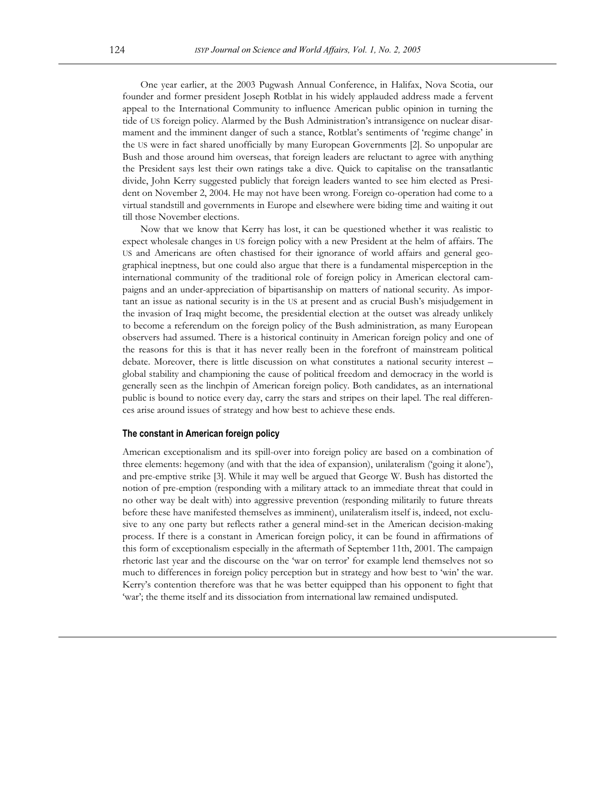One year earlier, at the 2003 Pugwash Annual Conference, in Halifax, Nova Scotia, our founder and former president Joseph Rotblat in his widely applauded address made a fervent appeal to the International Community to influence American public opinion in turning the tide of US foreign policy. Alarmed by the Bush Administration's intransigence on nuclear disarmament and the imminent danger of such a stance, Rotblat's sentiments of 'regime change' in the US were in fact shared unofficially by many European Governments [2]. So unpopular are Bush and those around him overseas, that foreign leaders are reluctant to agree with anything the President says lest their own ratings take a dive. Quick to capitalise on the transatlantic divide, John Kerry suggested publicly that foreign leaders wanted to see him elected as President on November 2, 2004. He may not have been wrong. Foreign co-operation had come to a virtual standstill and governments in Europe and elsewhere were biding time and waiting it out till those November elections.

Now that we know that Kerry has lost, it can be questioned whether it was realistic to expect wholesale changes in US foreign policy with a new President at the helm of affairs. The US and Americans are often chastised for their ignorance of world affairs and general geographical ineptness, but one could also argue that there is a fundamental misperception in the international community of the traditional role of foreign policy in American electoral campaigns and an under-appreciation of bipartisanship on matters of national security. As important an issue as national security is in the US at present and as crucial Bush's misjudgement in the invasion of Iraq might become, the presidential election at the outset was already unlikely to become a referendum on the foreign policy of the Bush administration, as many European observers had assumed. There is a historical continuity in American foreign policy and one of the reasons for this is that it has never really been in the forefront of mainstream political debate. Moreover, there is little discussion on what constitutes a national security interest – global stability and championing the cause of political freedom and democracy in the world is generally seen as the linchpin of American foreign policy. Both candidates, as an international public is bound to notice every day, carry the stars and stripes on their lapel. The real differences arise around issues of strategy and how best to achieve these ends.

### **The constant in American foreign policy**

American exceptionalism and its spill-over into foreign policy are based on a combination of three elements: hegemony (and with that the idea of expansion), unilateralism ('going it alone'), and pre-emptive strike [3]. While it may well be argued that George W. Bush has distorted the notion of pre-emption (responding with a military attack to an immediate threat that could in no other way be dealt with) into aggressive prevention (responding militarily to future threats before these have manifested themselves as imminent), unilateralism itself is, indeed, not exclusive to any one party but reflects rather a general mind-set in the American decision-making process. If there is a constant in American foreign policy, it can be found in affirmations of this form of exceptionalism especially in the aftermath of September 11th, 2001. The campaign rhetoric last year and the discourse on the 'war on terror' for example lend themselves not so much to differences in foreign policy perception but in strategy and how best to 'win' the war. Kerry's contention therefore was that he was better equipped than his opponent to fight that 'war'; the theme itself and its dissociation from international law remained undisputed.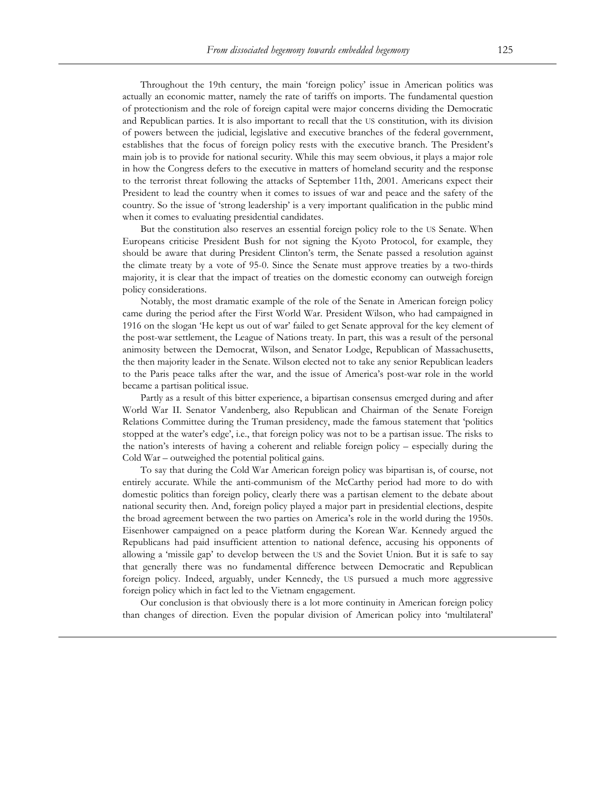Throughout the 19th century, the main 'foreign policy' issue in American politics was actually an economic matter, namely the rate of tariffs on imports. The fundamental question of protectionism and the role of foreign capital were major concerns dividing the Democratic and Republican parties. It is also important to recall that the US constitution, with its division of powers between the judicial, legislative and executive branches of the federal government, establishes that the focus of foreign policy rests with the executive branch. The President's main job is to provide for national security. While this may seem obvious, it plays a major role in how the Congress defers to the executive in matters of homeland security and the response to the terrorist threat following the attacks of September 11th, 2001. Americans expect their President to lead the country when it comes to issues of war and peace and the safety of the country. So the issue of 'strong leadership' is a very important qualification in the public mind when it comes to evaluating presidential candidates.

But the constitution also reserves an essential foreign policy role to the US Senate. When Europeans criticise President Bush for not signing the Kyoto Protocol, for example, they should be aware that during President Clinton's term, the Senate passed a resolution against the climate treaty by a vote of 95-0. Since the Senate must approve treaties by a two-thirds majority, it is clear that the impact of treaties on the domestic economy can outweigh foreign policy considerations.

Notably, the most dramatic example of the role of the Senate in American foreign policy came during the period after the First World War. President Wilson, who had campaigned in 1916 on the slogan 'He kept us out of war' failed to get Senate approval for the key element of the post-war settlement, the League of Nations treaty. In part, this was a result of the personal animosity between the Democrat, Wilson, and Senator Lodge, Republican of Massachusetts, the then majority leader in the Senate. Wilson elected not to take any senior Republican leaders to the Paris peace talks after the war, and the issue of America's post-war role in the world became a partisan political issue.

Partly as a result of this bitter experience, a bipartisan consensus emerged during and after World War II. Senator Vandenberg, also Republican and Chairman of the Senate Foreign Relations Committee during the Truman presidency, made the famous statement that 'politics stopped at the water's edge', i.e., that foreign policy was not to be a partisan issue. The risks to the nation's interests of having a coherent and reliable foreign policy – especially during the Cold War – outweighed the potential political gains.

To say that during the Cold War American foreign policy was bipartisan is, of course, not entirely accurate. While the anti-communism of the McCarthy period had more to do with domestic politics than foreign policy, clearly there was a partisan element to the debate about national security then. And, foreign policy played a major part in presidential elections, despite the broad agreement between the two parties on America's role in the world during the 1950s. Eisenhower campaigned on a peace platform during the Korean War. Kennedy argued the Republicans had paid insufficient attention to national defence, accusing his opponents of allowing a 'missile gap' to develop between the US and the Soviet Union. But it is safe to say that generally there was no fundamental difference between Democratic and Republican foreign policy. Indeed, arguably, under Kennedy, the US pursued a much more aggressive foreign policy which in fact led to the Vietnam engagement.

Our conclusion is that obviously there is a lot more continuity in American foreign policy than changes of direction. Even the popular division of American policy into 'multilateral'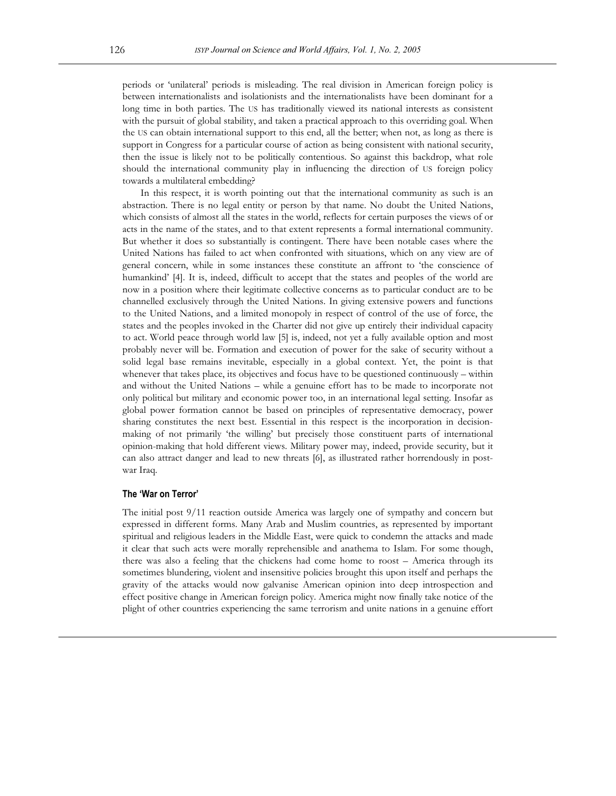periods or 'unilateral' periods is misleading. The real division in American foreign policy is between internationalists and isolationists and the internationalists have been dominant for a long time in both parties. The US has traditionally viewed its national interests as consistent with the pursuit of global stability, and taken a practical approach to this overriding goal. When the US can obtain international support to this end, all the better; when not, as long as there is support in Congress for a particular course of action as being consistent with national security, then the issue is likely not to be politically contentious. So against this backdrop, what role should the international community play in influencing the direction of US foreign policy towards a multilateral embedding?

In this respect, it is worth pointing out that the international community as such is an abstraction. There is no legal entity or person by that name. No doubt the United Nations, which consists of almost all the states in the world, reflects for certain purposes the views of or acts in the name of the states, and to that extent represents a formal international community. But whether it does so substantially is contingent. There have been notable cases where the United Nations has failed to act when confronted with situations, which on any view are of general concern, while in some instances these constitute an affront to 'the conscience of humankind' [4]. It is, indeed, difficult to accept that the states and peoples of the world are now in a position where their legitimate collective concerns as to particular conduct are to be channelled exclusively through the United Nations. In giving extensive powers and functions to the United Nations, and a limited monopoly in respect of control of the use of force, the states and the peoples invoked in the Charter did not give up entirely their individual capacity to act. World peace through world law [5] is, indeed, not yet a fully available option and most probably never will be. Formation and execution of power for the sake of security without a solid legal base remains inevitable, especially in a global context. Yet, the point is that whenever that takes place, its objectives and focus have to be questioned continuously – within and without the United Nations – while a genuine effort has to be made to incorporate not only political but military and economic power too, in an international legal setting. Insofar as global power formation cannot be based on principles of representative democracy, power sharing constitutes the next best. Essential in this respect is the incorporation in decisionmaking of not primarily 'the willing' but precisely those constituent parts of international opinion-making that hold different views. Military power may, indeed, provide security, but it can also attract danger and lead to new threats [6], as illustrated rather horrendously in postwar Iraq.

### **The 'War on Terror'**

The initial post 9/11 reaction outside America was largely one of sympathy and concern but expressed in different forms. Many Arab and Muslim countries, as represented by important spiritual and religious leaders in the Middle East, were quick to condemn the attacks and made it clear that such acts were morally reprehensible and anathema to Islam. For some though, there was also a feeling that the chickens had come home to roost – America through its sometimes blundering, violent and insensitive policies brought this upon itself and perhaps the gravity of the attacks would now galvanise American opinion into deep introspection and effect positive change in American foreign policy. America might now finally take notice of the plight of other countries experiencing the same terrorism and unite nations in a genuine effort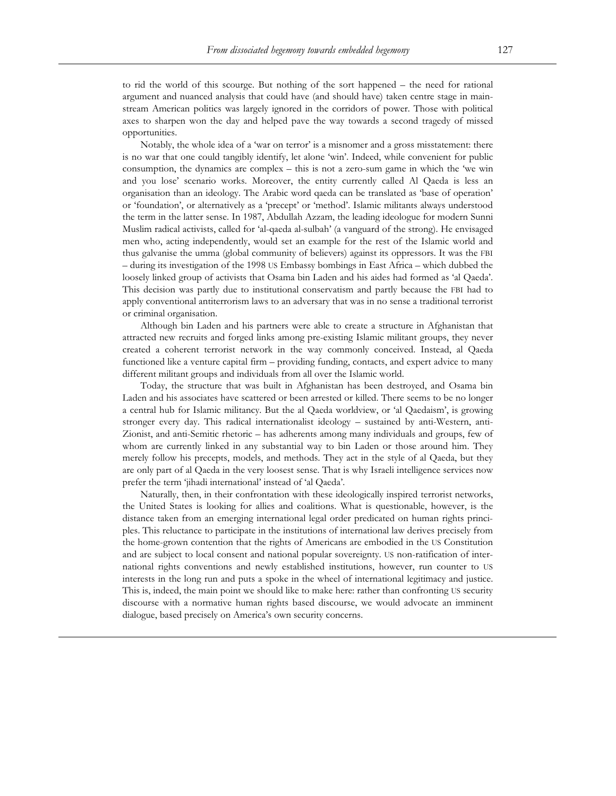to rid the world of this scourge. But nothing of the sort happened – the need for rational argument and nuanced analysis that could have (and should have) taken centre stage in mainstream American politics was largely ignored in the corridors of power. Those with political axes to sharpen won the day and helped pave the way towards a second tragedy of missed opportunities.

Notably, the whole idea of a 'war on terror' is a misnomer and a gross misstatement: there is no war that one could tangibly identify, let alone 'win'. Indeed, while convenient for public consumption, the dynamics are complex – this is not a zero-sum game in which the 'we win and you lose' scenario works. Moreover, the entity currently called Al Qaeda is less an organisation than an ideology. The Arabic word qaeda can be translated as 'base of operation' or 'foundation', or alternatively as a 'precept' or 'method'. Islamic militants always understood the term in the latter sense. In 1987, Abdullah Azzam, the leading ideologue for modern Sunni Muslim radical activists, called for 'al-qaeda al-sulbah' (a vanguard of the strong). He envisaged men who, acting independently, would set an example for the rest of the Islamic world and thus galvanise the umma (global community of believers) against its oppressors. It was the FBI – during its investigation of the 1998 US Embassy bombings in East Africa – which dubbed the loosely linked group of activists that Osama bin Laden and his aides had formed as 'al Qaeda'. This decision was partly due to institutional conservatism and partly because the FBI had to apply conventional antiterrorism laws to an adversary that was in no sense a traditional terrorist or criminal organisation.

Although bin Laden and his partners were able to create a structure in Afghanistan that attracted new recruits and forged links among pre-existing Islamic militant groups, they never created a coherent terrorist network in the way commonly conceived. Instead, al Qaeda functioned like a venture capital firm – providing funding, contacts, and expert advice to many different militant groups and individuals from all over the Islamic world.

Today, the structure that was built in Afghanistan has been destroyed, and Osama bin Laden and his associates have scattered or been arrested or killed. There seems to be no longer a central hub for Islamic militancy. But the al Qaeda worldview, or 'al Qaedaism', is growing stronger every day. This radical internationalist ideology – sustained by anti-Western, anti-Zionist, and anti-Semitic rhetoric – has adherents among many individuals and groups, few of whom are currently linked in any substantial way to bin Laden or those around him. They merely follow his precepts, models, and methods. They act in the style of al Qaeda, but they are only part of al Qaeda in the very loosest sense. That is why Israeli intelligence services now prefer the term 'jihadi international' instead of 'al Qaeda'.

Naturally, then, in their confrontation with these ideologically inspired terrorist networks, the United States is looking for allies and coalitions. What is questionable, however, is the distance taken from an emerging international legal order predicated on human rights principles. This reluctance to participate in the institutions of international law derives precisely from the home-grown contention that the rights of Americans are embodied in the US Constitution and are subject to local consent and national popular sovereignty. US non-ratification of international rights conventions and newly established institutions, however, run counter to US interests in the long run and puts a spoke in the wheel of international legitimacy and justice. This is, indeed, the main point we should like to make here: rather than confronting US security discourse with a normative human rights based discourse, we would advocate an imminent dialogue, based precisely on America's own security concerns.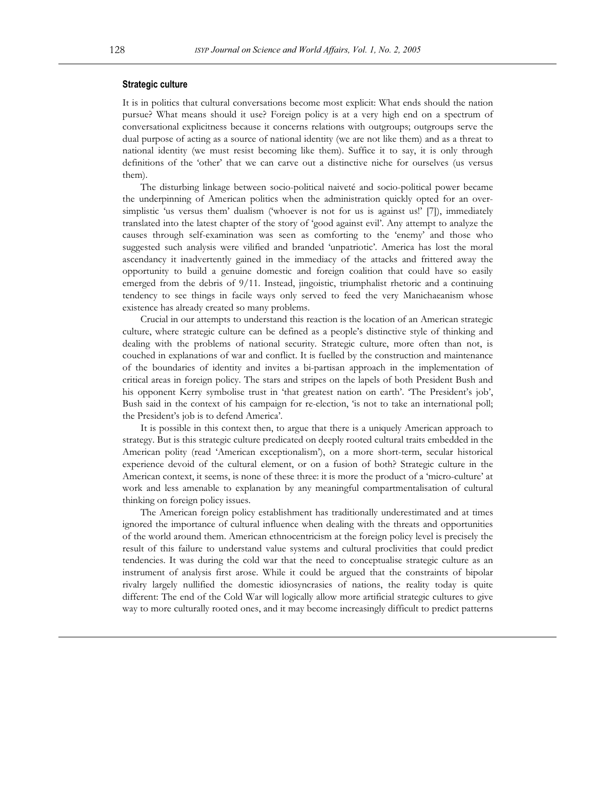#### **Strategic culture**

It is in politics that cultural conversations become most explicit: What ends should the nation pursue? What means should it use? Foreign policy is at a very high end on a spectrum of conversational explicitness because it concerns relations with outgroups; outgroups serve the dual purpose of acting as a source of national identity (we are not like them) and as a threat to national identity (we must resist becoming like them). Suffice it to say, it is only through definitions of the 'other' that we can carve out a distinctive niche for ourselves (us versus them).

The disturbing linkage between socio-political naiveté and socio-political power became the underpinning of American politics when the administration quickly opted for an oversimplistic 'us versus them' dualism ('whoever is not for us is against us!' [7]), immediately translated into the latest chapter of the story of 'good against evil'. Any attempt to analyze the causes through self-examination was seen as comforting to the 'enemy' and those who suggested such analysis were vilified and branded 'unpatriotic'. America has lost the moral ascendancy it inadvertently gained in the immediacy of the attacks and frittered away the opportunity to build a genuine domestic and foreign coalition that could have so easily emerged from the debris of 9/11. Instead, jingoistic, triumphalist rhetoric and a continuing tendency to see things in facile ways only served to feed the very Manichaeanism whose existence has already created so many problems.

Crucial in our attempts to understand this reaction is the location of an American strategic culture, where strategic culture can be defined as a people's distinctive style of thinking and dealing with the problems of national security. Strategic culture, more often than not, is couched in explanations of war and conflict. It is fuelled by the construction and maintenance of the boundaries of identity and invites a bi-partisan approach in the implementation of critical areas in foreign policy. The stars and stripes on the lapels of both President Bush and his opponent Kerry symbolise trust in 'that greatest nation on earth'. 'The President's job', Bush said in the context of his campaign for re-election, 'is not to take an international poll; the President's job is to defend America'.

It is possible in this context then, to argue that there is a uniquely American approach to strategy. But is this strategic culture predicated on deeply rooted cultural traits embedded in the American polity (read 'American exceptionalism'), on a more short-term, secular historical experience devoid of the cultural element, or on a fusion of both? Strategic culture in the American context, it seems, is none of these three: it is more the product of a 'micro-culture' at work and less amenable to explanation by any meaningful compartmentalisation of cultural thinking on foreign policy issues.

The American foreign policy establishment has traditionally underestimated and at times ignored the importance of cultural influence when dealing with the threats and opportunities of the world around them. American ethnocentricism at the foreign policy level is precisely the result of this failure to understand value systems and cultural proclivities that could predict tendencies. It was during the cold war that the need to conceptualise strategic culture as an instrument of analysis first arose. While it could be argued that the constraints of bipolar rivalry largely nullified the domestic idiosyncrasies of nations, the reality today is quite different: The end of the Cold War will logically allow more artificial strategic cultures to give way to more culturally rooted ones, and it may become increasingly difficult to predict patterns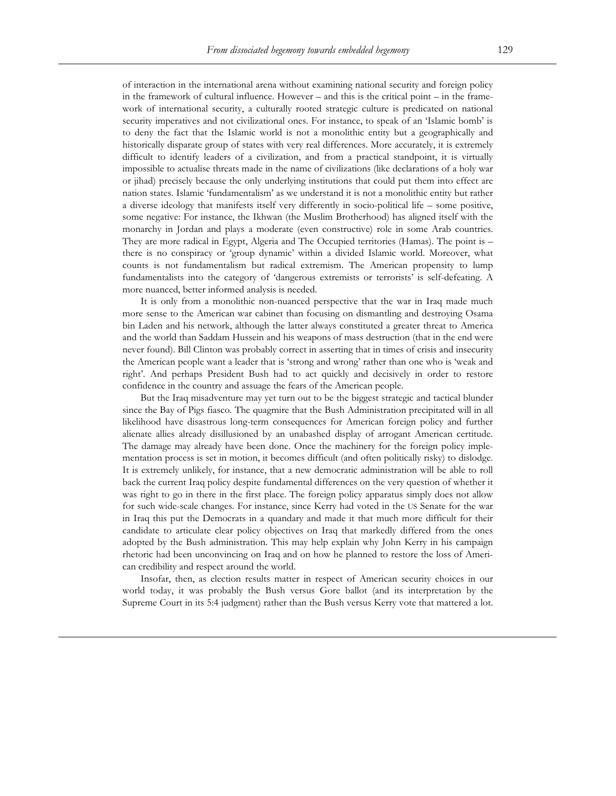of interaction in the international arena without examining national security and foreign policy in the framework of cultural influence. However – and this is the critical point – in the framework of international security, a culturally rooted strategic culture is predicated on national security imperatives and not civilizational ones. For instance, to speak of an 'Islamic bomb' is to deny the fact that the Islamic world is not a monolithic entity but a geographically and historically disparate group of states with very real differences. More accurately, it is extremely difficult to identify leaders of a civilization, and from a practical standpoint, it is virtually impossible to actualise threats made in the name of civilizations (like declarations of a holy war or jihad) precisely because the only underlying institutions that could put them into effect are nation states. Islamic 'fundamentalism' as we understand it is not a monolithic entity but rather a diverse ideology that manifests itself very differently in socio-political life – some positive, some negative: For instance, the Ikhwan (the Muslim Brotherhood) has aligned itself with the monarchy in Jordan and plays a moderate (even constructive) role in some Arab countries. They are more radical in Egypt, Algeria and The Occupied territories (Hamas). The point is – there is no conspiracy or 'group dynamic' within a divided Islamic world. Moreover, what counts is not fundamentalism but radical extremism. The American propensity to lump fundamentalists into the category of 'dangerous extremists or terrorists' is self-defeating. A more nuanced, better informed analysis is needed.

It is only from a monolithic non-nuanced perspective that the war in Iraq made much more sense to the American war cabinet than focusing on dismantling and destroying Osama bin Laden and his network, although the latter always constituted a greater threat to America and the world than Saddam Hussein and his weapons of mass destruction (that in the end were never found). Bill Clinton was probably correct in asserting that in times of crisis and insecurity the American people want a leader that is 'strong and wrong' rather than one who is 'weak and right'. And perhaps President Bush had to act quickly and decisively in order to restore confidence in the country and assuage the fears of the American people.

But the Iraq misadventure may yet turn out to be the biggest strategic and tactical blunder since the Bay of Pigs fiasco. The quagmire that the Bush Administration precipitated will in all likelihood have disastrous long-term consequences for American foreign policy and further alienate allies already disillusioned by an unabashed display of arrogant American certitude. The damage may already have been done. Once the machinery for the foreign policy implementation process is set in motion, it becomes difficult (and often politically risky) to dislodge. It is extremely unlikely, for instance, that a new democratic administration will be able to roll back the current Iraq policy despite fundamental differences on the very question of whether it was right to go in there in the first place. The foreign policy apparatus simply does not allow for such wide-scale changes. For instance, since Kerry had voted in the US Senate for the war in Iraq this put the Democrats in a quandary and made it that much more difficult for their candidate to articulate clear policy objectives on Iraq that markedly differed from the ones adopted by the Bush administration. This may help explain why John Kerry in his campaign rhetoric had been unconvincing on Iraq and on how he planned to restore the loss of American credibility and respect around the world.

Insofar, then, as election results matter in respect of American security choices in our world today, it was probably the Bush versus Gore ballot (and its interpretation by the Supreme Court in its 5:4 judgment) rather than the Bush versus Kerry vote that mattered a lot.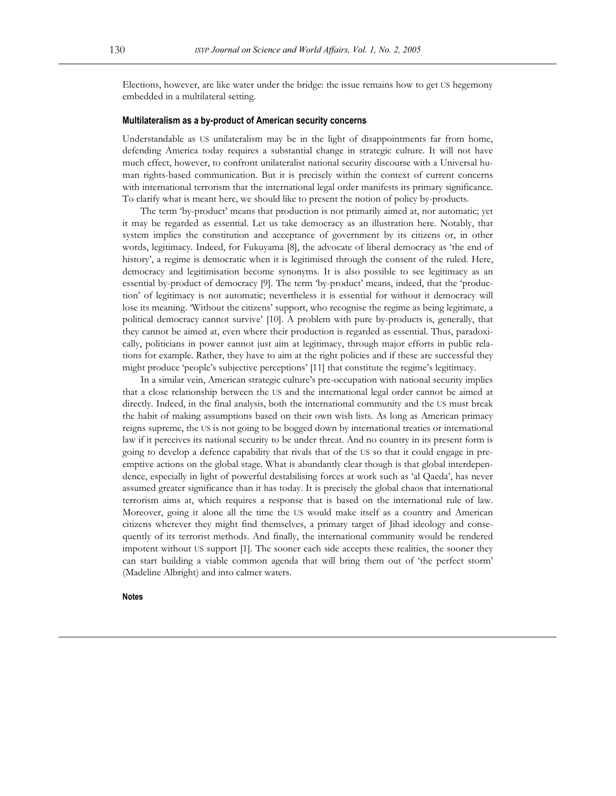Elections, however, are like water under the bridge: the issue remains how to get US hegemony embedded in a multilateral setting.

## **Multilateralism as a by-product of American security concerns**

Understandable as US unilateralism may be in the light of disappointments far from home, defending America today requires a substantial change in strategic culture. It will not have much effect, however, to confront unilateralist national security discourse with a Universal human rights-based communication. But it is precisely within the context of current concerns with international terrorism that the international legal order manifests its primary significance. To clarify what is meant here, we should like to present the notion of policy by-products.

The term 'by-product' means that production is not primarily aimed at, nor automatic; yet it may be regarded as essential. Let us take democracy as an illustration here. Notably, that system implies the constitution and acceptance of government by its citizens or, in other words, legitimacy. Indeed, for Fukuyama [8], the advocate of liberal democracy as 'the end of history', a regime is democratic when it is legitimised through the consent of the ruled. Here, democracy and legitimisation become synonyms. It is also possible to see legitimacy as an essential by-product of democracy [9]. The term 'by-product' means, indeed, that the 'production' of legitimacy is not automatic; nevertheless it is essential for without it democracy will lose its meaning. 'Without the citizens' support, who recognise the regime as being legitimate, a political democracy cannot survive' [10]. A problem with pure by-products is, generally, that they cannot be aimed at, even where their production is regarded as essential. Thus, paradoxically, politicians in power cannot just aim at legitimacy, through major efforts in public relations for example. Rather, they have to aim at the right policies and if these are successful they might produce 'people's subjective perceptions' [11] that constitute the regime's legitimacy.

In a similar vein, American strategic culture's pre-occupation with national security implies that a close relationship between the US and the international legal order cannot be aimed at directly. Indeed, in the final analysis, both the international community and the US must break the habit of making assumptions based on their own wish lists. As long as American primacy reigns supreme, the US is not going to be bogged down by international treaties or international law if it perceives its national security to be under threat. And no country in its present form is going to develop a defence capability that rivals that of the US so that it could engage in preemptive actions on the global stage. What is abundantly clear though is that global interdependence, especially in light of powerful destabilising forces at work such as 'al Qaeda', has never assumed greater significance than it has today. It is precisely the global chaos that international terrorism aims at, which requires a response that is based on the international rule of law. Moreover, going it alone all the time the US would make itself as a country and American citizens wherever they might find themselves, a primary target of Jihad ideology and consequently of its terrorist methods. And finally, the international community would be rendered impotent without US support [1]. The sooner each side accepts these realities, the sooner they can start building a viable common agenda that will bring them out of 'the perfect storm' (Madeline Albright) and into calmer waters.

**Notes**